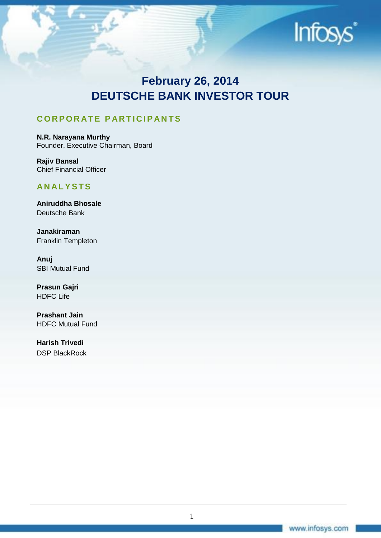

# **February 26, 2014 DEUTSCHE BANK INVESTOR TOUR**

# **C O R P O R AT E P AR T I C I P AN T S**

**N.R. Narayana Murthy** Founder, Executive Chairman, Board

**Rajiv Bansal** Chief Financial Officer

# **AN AL Y S T S**

**Aniruddha Bhosale** Deutsche Bank

**Janakiraman** Franklin Templeton

**Anuj** SBI Mutual Fund

**Prasun Gajri** HDFC Life

**Prashant Jain** HDFC Mutual Fund

**Harish Trivedi** DSP BlackRock

1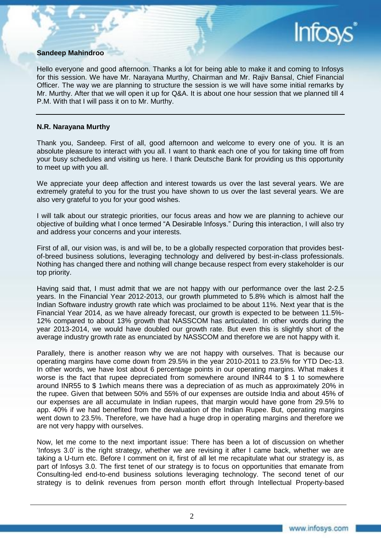### **Sandeep Mahindroo**

Hello everyone and good afternoon. Thanks a lot for being able to make it and coming to Infosys for this session. We have Mr. Narayana Murthy, Chairman and Mr. Rajiv Bansal, Chief Financial Officer. The way we are planning to structure the session is we will have some initial remarks by Mr. Murthy. After that we will open it up for Q&A. It is about one hour session that we planned till 4 P.M. With that I will pass it on to Mr. Murthy.

#### **N.R. Narayana Murthy**

Thank you, Sandeep. First of all, good afternoon and welcome to every one of you. It is an absolute pleasure to interact with you all. I want to thank each one of you for taking time off from your busy schedules and visiting us here. I thank Deutsche Bank for providing us this opportunity to meet up with you all.

We appreciate your deep affection and interest towards us over the last several years. We are extremely grateful to you for the trust you have shown to us over the last several years. We are also very grateful to you for your good wishes.

I will talk about our strategic priorities, our focus areas and how we are planning to achieve our objective of building what I once termed "A Desirable Infosys." During this interaction, I will also try and address your concerns and your interests.

First of all, our vision was, is and will be, to be a globally respected corporation that provides bestof-breed business solutions, leveraging technology and delivered by best-in-class professionals. Nothing has changed there and nothing will change because respect from every stakeholder is our top priority.

Having said that, I must admit that we are not happy with our performance over the last 2-2.5 years. In the Financial Year 2012-2013, our growth plummeted to 5.8% which is almost half the Indian Software industry growth rate which was proclaimed to be about 11%. Next year that is the Financial Year 2014, as we have already forecast, our growth is expected to be between 11.5%- 12% compared to about 13% growth that NASSCOM has articulated. In other words during the year 2013-2014, we would have doubled our growth rate. But even this is slightly short of the average industry growth rate as enunciated by NASSCOM and therefore we are not happy with it.

Parallely, there is another reason why we are not happy with ourselves. That is because our operating margins have come down from 29.5% in the year 2010-2011 to 23.5% for YTD Dec-13. In other words, we have lost about 6 percentage points in our operating margins. What makes it worse is the fact that rupee depreciated from somewhere around INR44 to \$ 1 to somewhere around INR55 to \$ 1which means there was a depreciation of as much as approximately 20% in the rupee. Given that between 50% and 55% of our expenses are outside India and about 45% of our expenses are all accumulate in Indian rupees, that margin would have gone from 29.5% to app. 40% if we had benefited from the devaluation of the Indian Rupee. But, operating margins went down to 23.5%. Therefore, we have had a huge drop in operating margins and therefore we are not very happy with ourselves.

Now, let me come to the next important issue: There has been a lot of discussion on whether 'Infosys 3.0' is the right strategy, whether we are revising it after I came back, whether we are taking a U-turn etc. Before I comment on it, first of all let me recapitulate what our strategy is, as part of Infosys 3.0. The first tenet of our strategy is to focus on opportunities that emanate from Consulting-led end-to-end business solutions leveraging technology. The second tenet of our strategy is to delink revenues from person month effort through Intellectual Property-based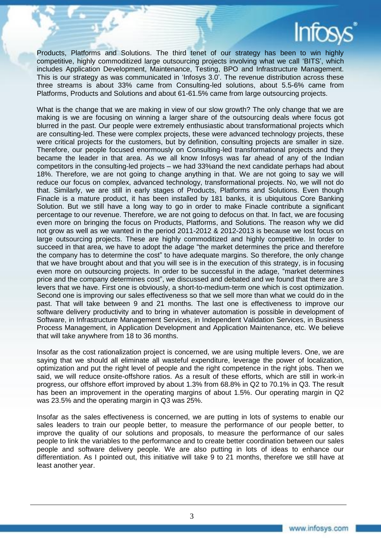Products, Platforms and Solutions. The third tenet of our strategy has been to win highly competitive, highly commoditized large outsourcing projects involving what we call 'BITS', which includes Application Development, Maintenance, Testing, BPO and Infrastructure Management. This is our strategy as was communicated in 'Infosys 3.0'. The revenue distribution across these three streams is about 33% came from Consulting-led solutions, about 5.5-6% came from Platforms, Products and Solutions and about 61-61.5% came from large outsourcing projects.

What is the change that we are making in view of our slow growth? The only change that we are making is we are focusing on winning a larger share of the outsourcing deals where focus got blurred in the past. Our people were extremely enthusiastic about transformational projects which are consulting-led. These were complex projects, these were advanced technology projects, these were critical projects for the customers, but by definition, consulting projects are smaller in size. Therefore, our people focused enormously on Consulting-led transformational projects and they became the leader in that area. As we all know Infosys was far ahead of any of the Indian competitors in the consulting-led projects – we had 33%and the next candidate perhaps had about 18%. Therefore, we are not going to change anything in that. We are not going to say we will reduce our focus on complex, advanced technology, transformational projects. No, we will not do that. Similarly, we are still in early stages of Products, Platforms and Solutions. Even though Finacle is a mature product, it has been installed by 181 banks, it is ubiquitous Core Banking Solution. But we still have a long way to go in order to make Finacle contribute a significant percentage to our revenue. Therefore, we are not going to defocus on that. In fact, we are focusing even more on bringing the focus on Products, Platforms, and Solutions. The reason why we did not grow as well as we wanted in the period 2011-2012 & 2012-2013 is because we lost focus on large outsourcing projects. These are highly commoditized and highly competitive. In order to succeed in that area, we have to adopt the adage "the market determines the price and therefore the company has to determine the cost" to have adequate margins. So therefore, the only change that we have brought about and that you will see is in the execution of this strategy, is in focusing even more on outsourcing projects. In order to be successful in the adage, "market determines price and the company determines cost", we discussed and debated and we found that there are 3 levers that we have. First one is obviously, a short-to-medium-term one which is cost optimization. Second one is improving our sales effectiveness so that we sell more than what we could do in the past. That will take between 9 and 21 months. The last one is effectiveness to improve our software delivery productivity and to bring in whatever automation is possible in development of Software, in Infrastructure Management Services, in Independent Validation Services, in Business Process Management, in Application Development and Application Maintenance, etc. We believe that will take anywhere from 18 to 36 months.

Insofar as the cost rationalization project is concerned, we are using multiple levers. One, we are saying that we should all eliminate all wasteful expenditure, leverage the power of localization, optimization and put the right level of people and the right competence in the right jobs. Then we said, we will reduce onsite-offshore ratios. As a result of these efforts, which are still in work-in progress, our offshore effort improved by about 1.3% from 68.8% in Q2 to 70.1% in Q3. The result has been an improvement in the operating margins of about 1.5%. Our operating margin in Q2 was 23.5% and the operating margin in Q3 was 25%.

Insofar as the sales effectiveness is concerned, we are putting in lots of systems to enable our sales leaders to train our people better, to measure the performance of our people better, to improve the quality of our solutions and proposals, to measure the performance of our sales people to link the variables to the performance and to create better coordination between our sales people and software delivery people. We are also putting in lots of ideas to enhance our differentiation. As I pointed out, this initiative will take 9 to 21 months, therefore we still have at least another year.

3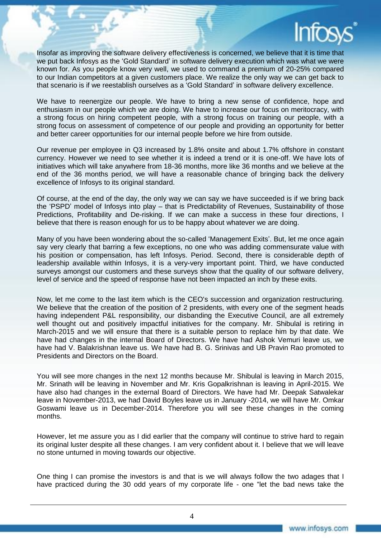

Insofar as improving the software delivery effectiveness is concerned, we believe that it is time that we put back Infosys as the 'Gold Standard' in software delivery execution which was what we were known for. As you people know very well, we used to command a premium of 20-25% compared to our Indian competitors at a given customers place. We realize the only way we can get back to that scenario is if we reestablish ourselves as a 'Gold Standard' in software delivery excellence.

We have to reenergize our people. We have to bring a new sense of confidence, hope and enthusiasm in our people which we are doing. We have to increase our focus on meritocracy, with a strong focus on hiring competent people, with a strong focus on training our people, with a strong focus on assessment of competence of our people and providing an opportunity for better and better career opportunities for our internal people before we hire from outside.

Our revenue per employee in Q3 increased by 1.8% onsite and about 1.7% offshore in constant currency. However we need to see whether it is indeed a trend or it is one-off. We have lots of initiatives which will take anywhere from 18-36 months, more like 36 months and we believe at the end of the 36 months period, we will have a reasonable chance of bringing back the delivery excellence of Infosys to its original standard.

Of course, at the end of the day, the only way we can say we have succeeded is if we bring back the 'PSPD' model of Infosys into play – that is Predictability of Revenues, Sustainability of those Predictions, Profitability and De-risking. If we can make a success in these four directions, I believe that there is reason enough for us to be happy about whatever we are doing.

Many of you have been wondering about the so-called 'Management Exits'. But, let me once again say very clearly that barring a few exceptions, no one who was adding commensurate value with his position or compensation, has left Infosys. Period. Second, there is considerable depth of leadership available within Infosys, it is a very-very important point. Third, we have conducted surveys amongst our customers and these surveys show that the quality of our software delivery, level of service and the speed of response have not been impacted an inch by these exits.

Now, let me come to the last item which is the CEO's succession and organization restructuring. We believe that the creation of the position of 2 presidents, with every one of the segment heads having independent P&L responsibility, our disbanding the Executive Council, are all extremely well thought out and positively impactful initiatives for the company. Mr. Shibulal is retiring in March-2015 and we will ensure that there is a suitable person to replace him by that date. We have had changes in the internal Board of Directors. We have had Ashok Vemuri leave us, we have had V. Balakrishnan leave us. We have had B. G. Srinivas and UB Pravin Rao promoted to Presidents and Directors on the Board.

You will see more changes in the next 12 months because Mr. Shibulal is leaving in March 2015, Mr. Srinath will be leaving in November and Mr. Kris Gopalkrishnan is leaving in April-2015. We have also had changes in the external Board of Directors. We have had Mr. Deepak Satwalekar leave in November-2013, we had David Boyles leave us in January -2014, we will have Mr. Omkar Goswami leave us in December-2014. Therefore you will see these changes in the coming months.

However, let me assure you as I did earlier that the company will continue to strive hard to regain its original luster despite all these changes. I am very confident about it. I believe that we will leave no stone unturned in moving towards our objective.

One thing I can promise the investors is and that is we will always follow the two adages that I have practiced during the 30 odd years of my corporate life - one "let the bad news take the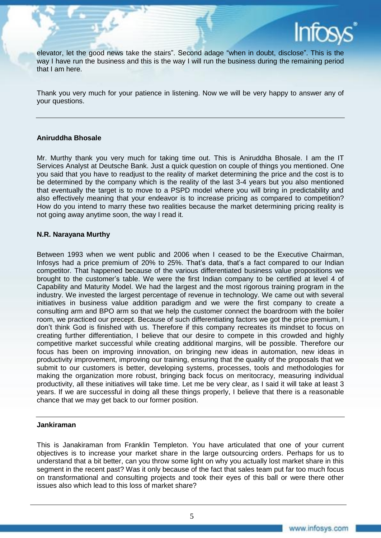

elevator, let the good news take the stairs". Second adage "when in doubt, disclose". This is the way I have run the business and this is the way I will run the business during the remaining period that I am here.

Thank you very much for your patience in listening. Now we will be very happy to answer any of your questions.

#### **Aniruddha Bhosale**

Mr. Murthy thank you very much for taking time out. This is Aniruddha Bhosale. I am the IT Services Analyst at Deutsche Bank. Just a quick question on couple of things you mentioned. One you said that you have to readjust to the reality of market determining the price and the cost is to be determined by the company which is the reality of the last 3-4 years but you also mentioned that eventually the target is to move to a PSPD model where you will bring in predictability and also effectively meaning that your endeavor is to increase pricing as compared to competition? How do you intend to marry these two realities because the market determining pricing reality is not going away anytime soon, the way I read it.

#### **N.R. Narayana Murthy**

Between 1993 when we went public and 2006 when I ceased to be the Executive Chairman, Infosys had a price premium of 20% to 25%. That's data, that's a fact compared to our Indian competitor. That happened because of the various differentiated business value propositions we brought to the customer's table. We were the first Indian company to be certified at level 4 of Capability and Maturity Model. We had the largest and the most rigorous training program in the industry. We invested the largest percentage of revenue in technology. We came out with several initiatives in business value addition paradigm and we were the first company to create a consulting arm and BPO arm so that we help the customer connect the boardroom with the boiler room, we practiced our precept. Because of such differentiating factors we got the price premium, I don't think God is finished with us. Therefore if this company recreates its mindset to focus on creating further differentiation, I believe that our desire to compete in this crowded and highly competitive market successful while creating additional margins, will be possible. Therefore our focus has been on improving innovation, on bringing new ideas in automation, new ideas in productivity improvement, improving our training, ensuring that the quality of the proposals that we submit to our customers is better, developing systems, processes, tools and methodologies for making the organization more robust, bringing back focus on meritocracy, measuring individual productivity, all these initiatives will take time. Let me be very clear, as I said it will take at least 3 years. If we are successful in doing all these things properly, I believe that there is a reasonable chance that we may get back to our former position.

#### **Jankiraman**

This is Janakiraman from Franklin Templeton. You have articulated that one of your current objectives is to increase your market share in the large outsourcing orders. Perhaps for us to understand that a bit better, can you throw some light on why you actually lost market share in this segment in the recent past? Was it only because of the fact that sales team put far too much focus on transformational and consulting projects and took their eyes of this ball or were there other issues also which lead to this loss of market share?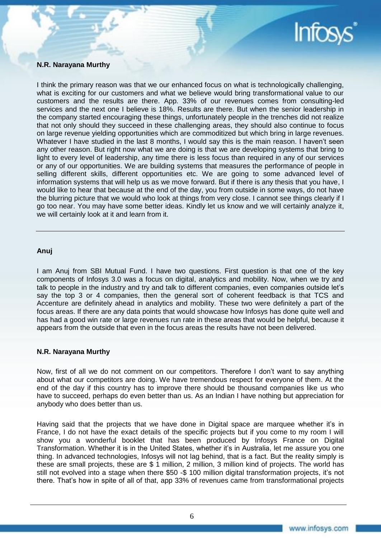

#### **N.R. Narayana Murthy**

I think the primary reason was that we our enhanced focus on what is technologically challenging, what is exciting for our customers and what we believe would bring transformational value to our customers and the results are there. App. 33% of our revenues comes from consulting-led services and the next one I believe is 18%. Results are there. But when the senior leadership in the company started encouraging these things, unfortunately people in the trenches did not realize that not only should they succeed in these challenging areas, they should also continue to focus on large revenue yielding opportunities which are commoditized but which bring in large revenues. Whatever I have studied in the last 8 months. I would say this is the main reason. I haven't seen any other reason. But right now what we are doing is that we are developing systems that bring to light to every level of leadership, any time there is less focus than required in any of our services or any of our opportunities. We are building systems that measures the performance of people in selling different skills, different opportunities etc. We are going to some advanced level of information systems that will help us as we move forward. But if there is any thesis that you have, I would like to hear that because at the end of the day, you from outside in some ways, do not have the blurring picture that we would who look at things from very close. I cannot see things clearly if I go too near. You may have some better ideas. Kindly let us know and we will certainly analyze it, we will certainly look at it and learn from it.

#### **Anuj**

I am Anuj from SBI Mutual Fund. I have two questions. First question is that one of the key components of Infosys 3.0 was a focus on digital, analytics and mobility. Now, when we try and talk to people in the industry and try and talk to different companies, even companies outside let's say the top 3 or 4 companies, then the general sort of coherent feedback is that TCS and Accenture are definitely ahead in analytics and mobility. These two were definitely a part of the focus areas. If there are any data points that would showcase how Infosys has done quite well and has had a good win rate or large revenues run rate in these areas that would be helpful, because it appears from the outside that even in the focus areas the results have not been delivered.

#### **N.R. Narayana Murthy**

Now, first of all we do not comment on our competitors. Therefore I don't want to say anything about what our competitors are doing. We have tremendous respect for everyone of them. At the end of the day if this country has to improve there should be thousand companies like us who have to succeed, perhaps do even better than us. As an Indian I have nothing but appreciation for anybody who does better than us.

Having said that the projects that we have done in Digital space are marquee whether it's in France, I do not have the exact details of the specific projects but if you come to my room I will show you a wonderful booklet that has been produced by Infosys France on Digital Transformation. Whether it is in the United States, whether it's in Australia, let me assure you one thing. In advanced technologies, Infosys will not lag behind, that is a fact. But the reality simply is these are small projects, these are \$ 1 million, 2 million, 3 million kind of projects. The world has still not evolved into a stage when there \$50 -\$ 100 million digital transformation projects, it's not there. That's how in spite of all of that, app 33% of revenues came from transformational projects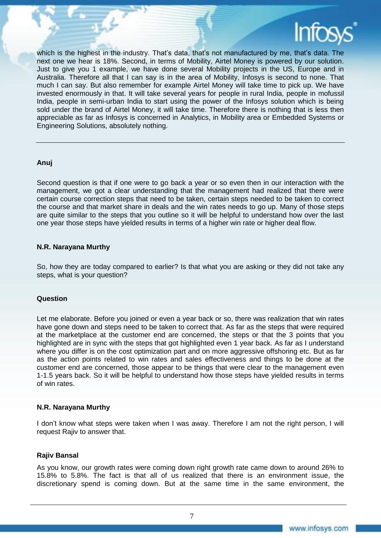

which is the highest in the industry. That's data, that's not manufactured by me, that's data. The next one we hear is 18%. Second, in terms of Mobility, Airtel Money is powered by our solution. Just to give you 1 example, we have done several Mobility projects in the US, Europe and in Australia. Therefore all that I can say is in the area of Mobility, Infosys is second to none. That much I can say. But also remember for example Airtel Money will take time to pick up. We have invested enormously in that. It will take several years for people in rural India, people in mofussil India, people in semi-urban India to start using the power of the Infosys solution which is being sold under the brand of Airtel Money, it will take time. Therefore there is nothing that is less then appreciable as far as Infosys is concerned in Analytics, in Mobility area or Embedded Systems or Engineering Solutions, absolutely nothing.

#### **Anuj**

Second question is that if one were to go back a year or so even then in our interaction with the management, we got a clear understanding that the management had realized that there were certain course correction steps that need to be taken, certain steps needed to be taken to correct the course and that market share in deals and the win rates needs to go up. Many of those steps are quite similar to the steps that you outline so it will be helpful to understand how over the last one year those steps have yielded results in terms of a higher win rate or higher deal flow.

#### **N.R. Narayana Murthy**

So, how they are today compared to earlier? Is that what you are asking or they did not take any steps, what is your question?

#### **Question**

Let me elaborate. Before you joined or even a year back or so, there was realization that win rates have gone down and steps need to be taken to correct that. As far as the steps that were required at the marketplace at the customer end are concerned, the steps or that the 3 points that you highlighted are in sync with the steps that got highlighted even 1 year back. As far as I understand where you differ is on the cost optimization part and on more aggressive offshoring etc. But as far as the action points related to win rates and sales effectiveness and things to be done at the customer end are concerned, those appear to be things that were clear to the management even 1-1.5 years back. So it will be helpful to understand how those steps have yielded results in terms of win rates.

#### **N.R. Narayana Murthy**

I don't know what steps were taken when I was away. Therefore I am not the right person, I will request Rajiv to answer that.

#### **Rajiv Bansal**

As you know, our growth rates were coming down right growth rate came down to around 26% to 15.8% to 5.8%. The fact is that all of us realized that there is an environment issue, the discretionary spend is coming down. But at the same time in the same environment, the

7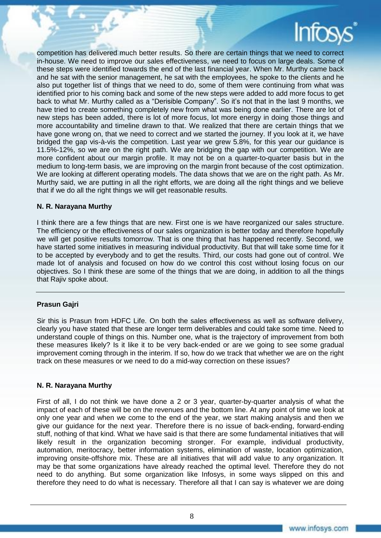

competition has delivered much better results. So there are certain things that we need to correct in-house. We need to improve our sales effectiveness, we need to focus on large deals. Some of these steps were identified towards the end of the last financial year. When Mr. Murthy came back and he sat with the senior management, he sat with the employees, he spoke to the clients and he also put together list of things that we need to do, some of them were continuing from what was identified prior to his coming back and some of the new steps were added to add more focus to get back to what Mr. Murthy called as a "Derisible Company". So it's not that in the last 9 months, we have tried to create something completely new from what was being done earlier. There are lot of new steps has been added, there is lot of more focus, lot more energy in doing those things and more accountability and timeline drawn to that. We realized that there are certain things that we have gone wrong on, that we need to correct and we started the journey. If you look at it, we have bridged the gap vis-à-vis the competition. Last year we grew 5.8%, for this year our guidance is 11.5%-12%, so we are on the right path. We are bridging the gap with our competition. We are more confident about our margin profile. It may not be on a quarter-to-quarter basis but in the medium to long-term basis, we are improving on the margin front because of the cost optimization. We are looking at different operating models. The data shows that we are on the right path. As Mr. Murthy said, we are putting in all the right efforts, we are doing all the right things and we believe that if we do all the right things we will get reasonable results.

#### **N. R. Narayana Murthy**

I think there are a few things that are new. First one is we have reorganized our sales structure. The efficiency or the effectiveness of our sales organization is better today and therefore hopefully we will get positive results tomorrow. That is one thing that has happened recently. Second, we have started some initiatives in measuring individual productivity. But that will take some time for it to be accepted by everybody and to get the results. Third, our costs had gone out of control. We made lot of analysis and focused on how do we control this cost without losing focus on our objectives. So I think these are some of the things that we are doing, in addition to all the things that Rajiv spoke about.

#### **Prasun Gajri**

Sir this is Prasun from HDFC Life. On both the sales effectiveness as well as software delivery, clearly you have stated that these are longer term deliverables and could take some time. Need to understand couple of things on this. Number one, what is the trajectory of improvement from both these measures likely? Is it like it to be very back-ended or are we going to see some gradual improvement coming through in the interim. If so, how do we track that whether we are on the right track on these measures or we need to do a mid-way correction on these issues?

#### **N. R. Narayana Murthy**

First of all, I do not think we have done a 2 or 3 year, quarter-by-quarter analysis of what the impact of each of these will be on the revenues and the bottom line. At any point of time we look at only one year and when we come to the end of the year, we start making analysis and then we give our guidance for the next year. Therefore there is no issue of back-ending, forward-ending stuff, nothing of that kind. What we have said is that there are some fundamental initiatives that will likely result in the organization becoming stronger. For example, individual productivity, automation, meritocracy, better information systems, elimination of waste, location optimization, improving onsite-offshore mix. These are all initiatives that will add value to any organization. It may be that some organizations have already reached the optimal level. Therefore they do not need to do anything. But some organization like Infosys, in some ways slipped on this and therefore they need to do what is necessary. Therefore all that I can say is whatever we are doing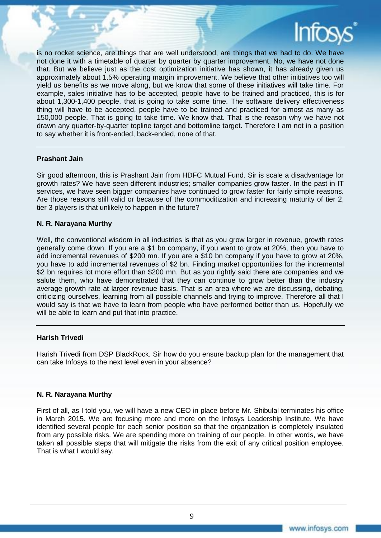

is no rocket science, are things that are well understood, are things that we had to do. We have not done it with a timetable of quarter by quarter by quarter improvement. No, we have not done that. But we believe just as the cost optimization initiative has shown, it has already given us approximately about 1.5% operating margin improvement. We believe that other initiatives too will yield us benefits as we move along, but we know that some of these initiatives will take time. For example, sales initiative has to be accepted, people have to be trained and practiced, this is for about 1,300-1,400 people, that is going to take some time. The software delivery effectiveness thing will have to be accepted, people have to be trained and practiced for almost as many as 150,000 people. That is going to take time. We know that. That is the reason why we have not drawn any quarter-by-quarter topline target and bottomline target. Therefore I am not in a position to say whether it is front-ended, back-ended, none of that.

#### **Prashant Jain**

Sir good afternoon, this is Prashant Jain from HDFC Mutual Fund. Sir is scale a disadvantage for growth rates? We have seen different industries; smaller companies grow faster. In the past in IT services, we have seen bigger companies have continued to grow faster for fairly simple reasons. Are those reasons still valid or because of the commoditization and increasing maturity of tier 2, tier 3 players is that unlikely to happen in the future?

#### **N. R. Narayana Murthy**

Well, the conventional wisdom in all industries is that as you grow larger in revenue, growth rates generally come down. If you are a \$1 bn company, if you want to grow at 20%, then you have to add incremental revenues of \$200 mn. If you are a \$10 bn company if you have to grow at 20%, you have to add incremental revenues of \$2 bn. Finding market opportunities for the incremental \$2 bn requires lot more effort than \$200 mn. But as you rightly said there are companies and we salute them, who have demonstrated that they can continue to grow better than the industry average growth rate at larger revenue basis. That is an area where we are discussing, debating, criticizing ourselves, learning from all possible channels and trying to improve. Therefore all that I would say is that we have to learn from people who have performed better than us. Hopefully we will be able to learn and put that into practice.

#### **Harish Trivedi**

Harish Trivedi from DSP BlackRock. Sir how do you ensure backup plan for the management that can take Infosys to the next level even in your absence?

#### **N. R. Narayana Murthy**

First of all, as I told you, we will have a new CEO in place before Mr. Shibulal terminates his office in March 2015. We are focusing more and more on the Infosys Leadership Institute. We have identified several people for each senior position so that the organization is completely insulated from any possible risks. We are spending more on training of our people. In other words, we have taken all possible steps that will mitigate the risks from the exit of any critical position employee. That is what I would say.